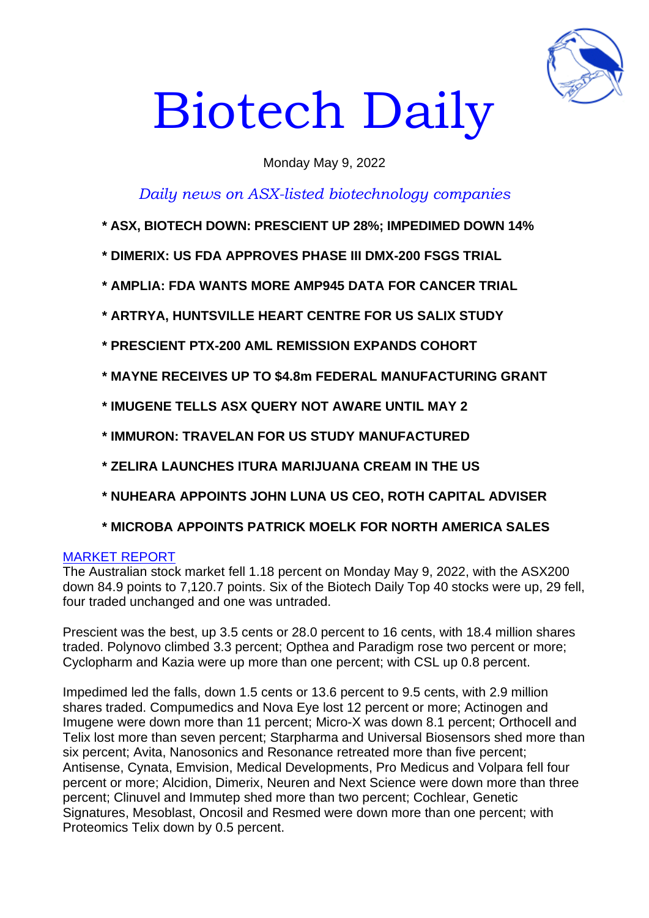

# Biotech Daily

# Monday May 9, 2022

# *Daily news on ASX-listed biotechnology companies*

- **\* ASX, BIOTECH DOWN: PRESCIENT UP 28%; IMPEDIMED DOWN 14%**
- **\* DIMERIX: US FDA APPROVES PHASE III DMX-200 FSGS TRIAL**
- **\* AMPLIA: FDA WANTS MORE AMP945 DATA FOR CANCER TRIAL**
- **\* ARTRYA, HUNTSVILLE HEART CENTRE FOR US SALIX STUDY**
- **\* PRESCIENT PTX-200 AML REMISSION EXPANDS COHORT**
- **\* MAYNE RECEIVES UP TO \$4.8m FEDERAL MANUFACTURING GRANT**
- **\* IMUGENE TELLS ASX QUERY NOT AWARE UNTIL MAY 2**
- **\* IMMURON: TRAVELAN FOR US STUDY MANUFACTURED**
- **\* ZELIRA LAUNCHES ITURA MARIJUANA CREAM IN THE US**
- **\* NUHEARA APPOINTS JOHN LUNA US CEO, ROTH CAPITAL ADVISER**
- **\* MICROBA APPOINTS PATRICK MOELK FOR NORTH AMERICA SALES**

#### MARKET REPORT

The Australian stock market fell 1.18 percent on Monday May 9, 2022, with the ASX200 down 84.9 points to 7,120.7 points. Six of the Biotech Daily Top 40 stocks were up, 29 fell, four traded unchanged and one was untraded.

Prescient was the best, up 3.5 cents or 28.0 percent to 16 cents, with 18.4 million shares traded. Polynovo climbed 3.3 percent; Opthea and Paradigm rose two percent or more; Cyclopharm and Kazia were up more than one percent; with CSL up 0.8 percent.

Impedimed led the falls, down 1.5 cents or 13.6 percent to 9.5 cents, with 2.9 million shares traded. Compumedics and Nova Eye lost 12 percent or more; Actinogen and Imugene were down more than 11 percent; Micro-X was down 8.1 percent; Orthocell and Telix lost more than seven percent; Starpharma and Universal Biosensors shed more than six percent; Avita, Nanosonics and Resonance retreated more than five percent; Antisense, Cynata, Emvision, Medical Developments, Pro Medicus and Volpara fell four percent or more; Alcidion, Dimerix, Neuren and Next Science were down more than three percent; Clinuvel and Immutep shed more than two percent; Cochlear, Genetic Signatures, Mesoblast, Oncosil and Resmed were down more than one percent; with Proteomics Telix down by 0.5 percent.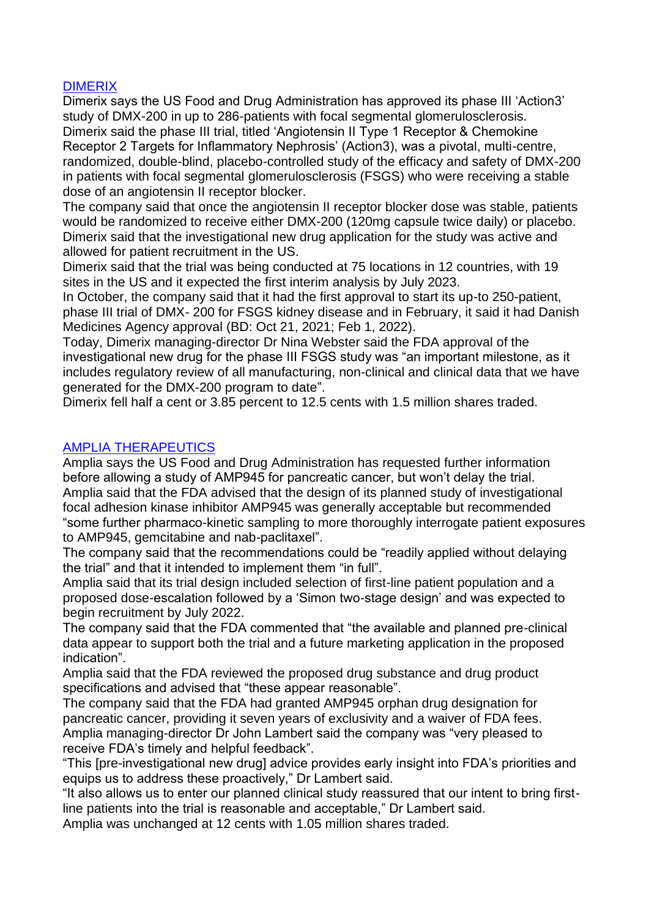## DIMERIX

Dimerix says the US Food and Drug Administration has approved its phase III 'Action3' study of DMX-200 in up to 286-patients with focal segmental glomerulosclerosis. Dimerix said the phase III trial, titled 'Angiotensin II Type 1 Receptor & Chemokine Receptor 2 Targets for Inflammatory Nephrosis' (Action3), was a pivotal, multi-centre, randomized, double-blind, placebo-controlled study of the efficacy and safety of DMX-200 in patients with focal segmental glomerulosclerosis (FSGS) who were receiving a stable dose of an angiotensin II receptor blocker.

The company said that once the angiotensin II receptor blocker dose was stable, patients would be randomized to receive either DMX-200 (120mg capsule twice daily) or placebo. Dimerix said that the investigational new drug application for the study was active and allowed for patient recruitment in the US.

Dimerix said that the trial was being conducted at 75 locations in 12 countries, with 19 sites in the US and it expected the first interim analysis by July 2023.

In October, the company said that it had the first approval to start its up-to 250-patient, phase III trial of DMX- 200 for FSGS kidney disease and in February, it said it had Danish Medicines Agency approval (BD: Oct 21, 2021; Feb 1, 2022).

Today, Dimerix managing-director Dr Nina Webster said the FDA approval of the investigational new drug for the phase III FSGS study was "an important milestone, as it includes regulatory review of all manufacturing, non-clinical and clinical data that we have generated for the DMX-200 program to date".

Dimerix fell half a cent or 3.85 percent to 12.5 cents with 1.5 million shares traded.

#### AMPLIA THERAPEUTICS

Amplia says the US Food and Drug Administration has requested further information before allowing a study of AMP945 for pancreatic cancer, but won't delay the trial. Amplia said that the FDA advised that the design of its planned study of investigational focal adhesion kinase inhibitor AMP945 was generally acceptable but recommended "some further pharmaco-kinetic sampling to more thoroughly interrogate patient exposures to AMP945, gemcitabine and nab-paclitaxel".

The company said that the recommendations could be "readily applied without delaying the trial" and that it intended to implement them "in full".

Amplia said that its trial design included selection of first-line patient population and a proposed dose-escalation followed by a 'Simon two-stage design' and was expected to begin recruitment by July 2022.

The company said that the FDA commented that "the available and planned pre-clinical data appear to support both the trial and a future marketing application in the proposed indication".

Amplia said that the FDA reviewed the proposed drug substance and drug product specifications and advised that "these appear reasonable".

The company said that the FDA had granted AMP945 orphan drug designation for pancreatic cancer, providing it seven years of exclusivity and a waiver of FDA fees. Amplia managing-director Dr John Lambert said the company was "very pleased to receive FDA's timely and helpful feedback".

"This [pre-investigational new drug] advice provides early insight into FDA's priorities and equips us to address these proactively," Dr Lambert said.

"It also allows us to enter our planned clinical study reassured that our intent to bring firstline patients into the trial is reasonable and acceptable," Dr Lambert said.

Amplia was unchanged at 12 cents with 1.05 million shares traded.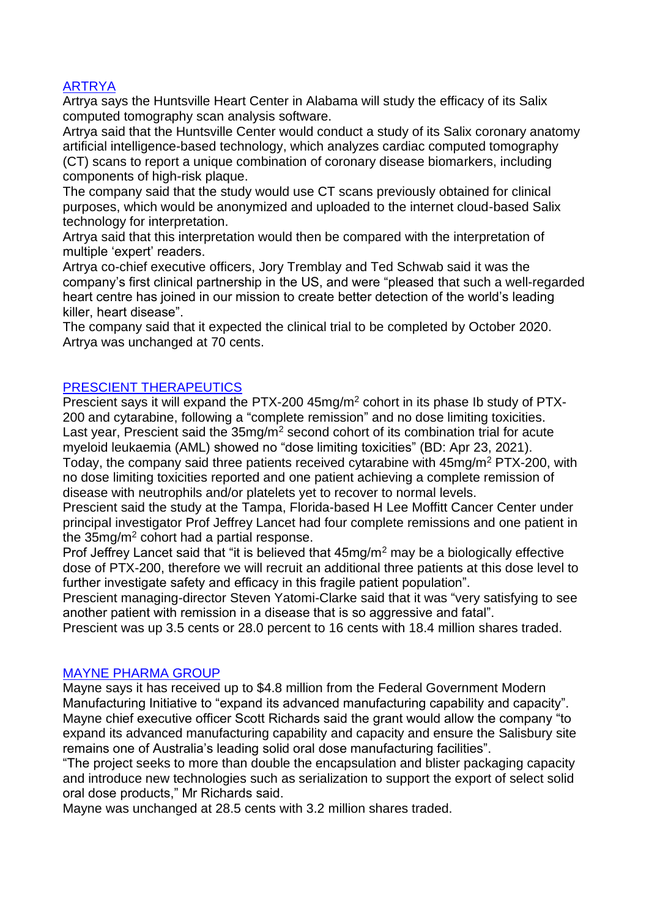# ARTRYA

Artrya says the Huntsville Heart Center in Alabama will study the efficacy of its Salix computed tomography scan analysis software.

Artrya said that the Huntsville Center would conduct a study of its Salix coronary anatomy artificial intelligence-based technology, which analyzes cardiac computed tomography (CT) scans to report a unique combination of coronary disease biomarkers, including components of high-risk plaque.

The company said that the study would use CT scans previously obtained for clinical purposes, which would be anonymized and uploaded to the internet cloud-based Salix technology for interpretation.

Artrya said that this interpretation would then be compared with the interpretation of multiple 'expert' readers.

Artrya co-chief executive officers, Jory Tremblay and Ted Schwab said it was the company's first clinical partnership in the US, and were "pleased that such a well-regarded heart centre has joined in our mission to create better detection of the world's leading killer, heart disease".

The company said that it expected the clinical trial to be completed by October 2020. Artrya was unchanged at 70 cents.

## PRESCIENT THERAPEUTICS

Prescient says it will expand the PTX-200 45mg/m<sup>2</sup> cohort in its phase Ib study of PTX-200 and cytarabine, following a "complete remission" and no dose limiting toxicities. Last year, Prescient said the  $35mg/m^2$  second cohort of its combination trial for acute myeloid leukaemia (AML) showed no "dose limiting toxicities" (BD: Apr 23, 2021). Today, the company said three patients received cytarabine with 45mg/m<sup>2</sup> PTX-200, with no dose limiting toxicities reported and one patient achieving a complete remission of disease with neutrophils and/or platelets yet to recover to normal levels.

Prescient said the study at the Tampa, Florida-based H Lee Moffitt Cancer Center under principal investigator Prof Jeffrey Lancet had four complete remissions and one patient in the  $35mg/m^2$  cohort had a partial response.

Prof Jeffrey Lancet said that "it is believed that 45mg/m<sup>2</sup> may be a biologically effective dose of PTX-200, therefore we will recruit an additional three patients at this dose level to further investigate safety and efficacy in this fragile patient population".

Prescient managing-director Steven Yatomi-Clarke said that it was "very satisfying to see another patient with remission in a disease that is so aggressive and fatal".

Prescient was up 3.5 cents or 28.0 percent to 16 cents with 18.4 million shares traded.

#### MAYNE PHARMA GROUP

Mayne says it has received up to \$4.8 million from the Federal Government Modern Manufacturing Initiative to "expand its advanced manufacturing capability and capacity". Mayne chief executive officer Scott Richards said the grant would allow the company "to expand its advanced manufacturing capability and capacity and ensure the Salisbury site remains one of Australia's leading solid oral dose manufacturing facilities".

"The project seeks to more than double the encapsulation and blister packaging capacity and introduce new technologies such as serialization to support the export of select solid oral dose products," Mr Richards said.

Mayne was unchanged at 28.5 cents with 3.2 million shares traded.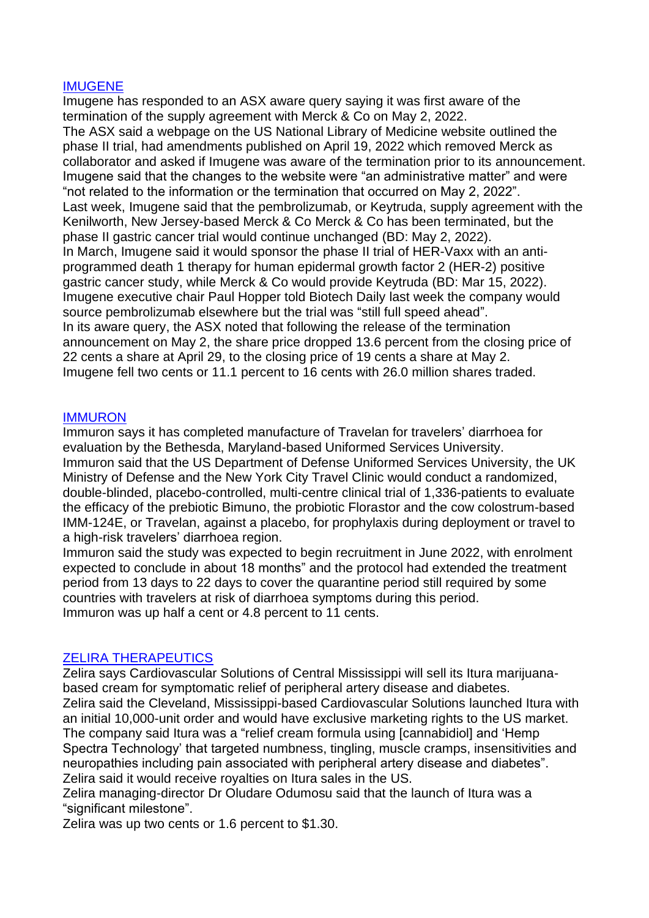#### IMUGENE

Imugene has responded to an ASX aware query saying it was first aware of the termination of the supply agreement with Merck & Co on May 2, 2022. The ASX said a webpage on the US National Library of Medicine website outlined the phase II trial, had amendments published on April 19, 2022 which removed Merck as collaborator and asked if Imugene was aware of the termination prior to its announcement. Imugene said that the changes to the website were "an administrative matter" and were "not related to the information or the termination that occurred on May 2, 2022". Last week, Imugene said that the pembrolizumab, or Keytruda, supply agreement with the Kenilworth, New Jersey-based Merck & Co Merck & Co has been terminated, but the phase II gastric cancer trial would continue unchanged (BD: May 2, 2022). In March, Imugene said it would sponsor the phase II trial of HER-Vaxx with an antiprogrammed death 1 therapy for human epidermal growth factor 2 (HER-2) positive gastric cancer study, while Merck & Co would provide Keytruda (BD: Mar 15, 2022). Imugene executive chair Paul Hopper told Biotech Daily last week the company would source pembrolizumab elsewhere but the trial was "still full speed ahead". In its aware query, the ASX noted that following the release of the termination announcement on May 2, the share price dropped 13.6 percent from the closing price of 22 cents a share at April 29, to the closing price of 19 cents a share at May 2. Imugene fell two cents or 11.1 percent to 16 cents with 26.0 million shares traded.

## IMMURON

Immuron says it has completed manufacture of Travelan for travelers' diarrhoea for evaluation by the Bethesda, Maryland-based Uniformed Services University. Immuron said that the US Department of Defense Uniformed Services University, the UK Ministry of Defense and the New York City Travel Clinic would conduct a randomized, double-blinded, placebo-controlled, multi-centre clinical trial of 1,336-patients to evaluate the efficacy of the prebiotic Bimuno, the probiotic Florastor and the cow colostrum-based IMM-124E, or Travelan, against a placebo, for prophylaxis during deployment or travel to a high-risk travelers' diarrhoea region.

Immuron said the study was expected to begin recruitment in June 2022, with enrolment expected to conclude in about 18 months" and the protocol had extended the treatment period from 13 days to 22 days to cover the quarantine period still required by some countries with travelers at risk of diarrhoea symptoms during this period. Immuron was up half a cent or 4.8 percent to 11 cents.

# ZELIRA THERAPEUTICS

Zelira says Cardiovascular Solutions of Central Mississippi will sell its Itura marijuanabased cream for symptomatic relief of peripheral artery disease and diabetes. Zelira said the Cleveland, Mississippi-based Cardiovascular Solutions launched Itura with an initial 10,000-unit order and would have exclusive marketing rights to the US market. The company said Itura was a "relief cream formula using [cannabidiol] and 'Hemp Spectra Technology' that targeted numbness, tingling, muscle cramps, insensitivities and neuropathies including pain associated with peripheral artery disease and diabetes". Zelira said it would receive royalties on Itura sales in the US.

Zelira managing-director Dr Oludare Odumosu said that the launch of Itura was a "significant milestone".

Zelira was up two cents or 1.6 percent to \$1.30.